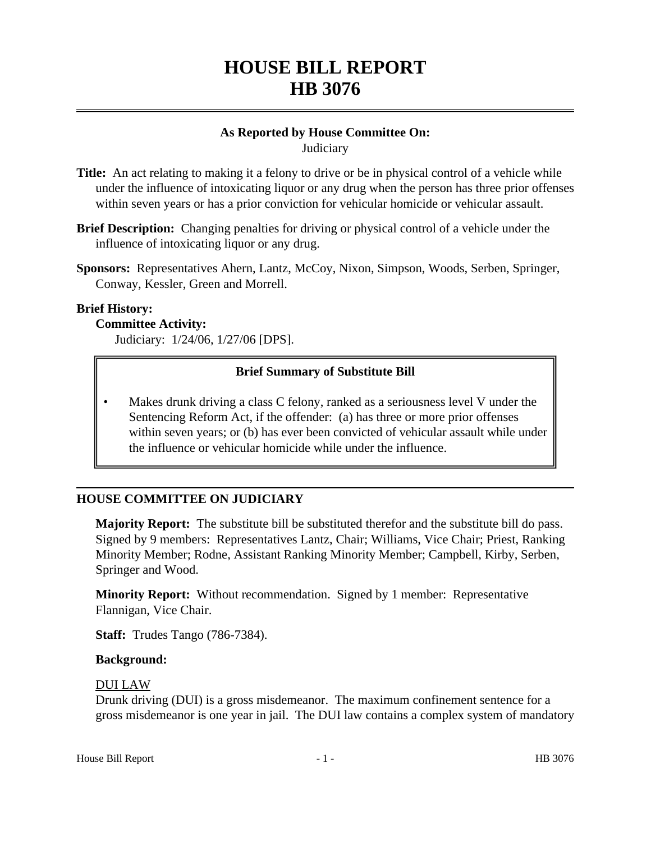# **HOUSE BILL REPORT HB 3076**

## **As Reported by House Committee On: Judiciary**

- **Title:** An act relating to making it a felony to drive or be in physical control of a vehicle while under the influence of intoxicating liquor or any drug when the person has three prior offenses within seven years or has a prior conviction for vehicular homicide or vehicular assault.
- **Brief Description:** Changing penalties for driving or physical control of a vehicle under the influence of intoxicating liquor or any drug.
- **Sponsors:** Representatives Ahern, Lantz, McCoy, Nixon, Simpson, Woods, Serben, Springer, Conway, Kessler, Green and Morrell.

### **Brief History:**

### **Committee Activity:**

Judiciary: 1/24/06, 1/27/06 [DPS].

## **Brief Summary of Substitute Bill**

Makes drunk driving a class C felony, ranked as a seriousness level V under the Sentencing Reform Act, if the offender: (a) has three or more prior offenses within seven years; or (b) has ever been convicted of vehicular assault while under the influence or vehicular homicide while under the influence.

## **HOUSE COMMITTEE ON JUDICIARY**

**Majority Report:** The substitute bill be substituted therefor and the substitute bill do pass. Signed by 9 members: Representatives Lantz, Chair; Williams, Vice Chair; Priest, Ranking Minority Member; Rodne, Assistant Ranking Minority Member; Campbell, Kirby, Serben, Springer and Wood.

**Minority Report:** Without recommendation. Signed by 1 member: Representative Flannigan, Vice Chair.

**Staff:** Trudes Tango (786-7384).

### **Background:**

### DUI LAW

Drunk driving (DUI) is a gross misdemeanor. The maximum confinement sentence for a gross misdemeanor is one year in jail. The DUI law contains a complex system of mandatory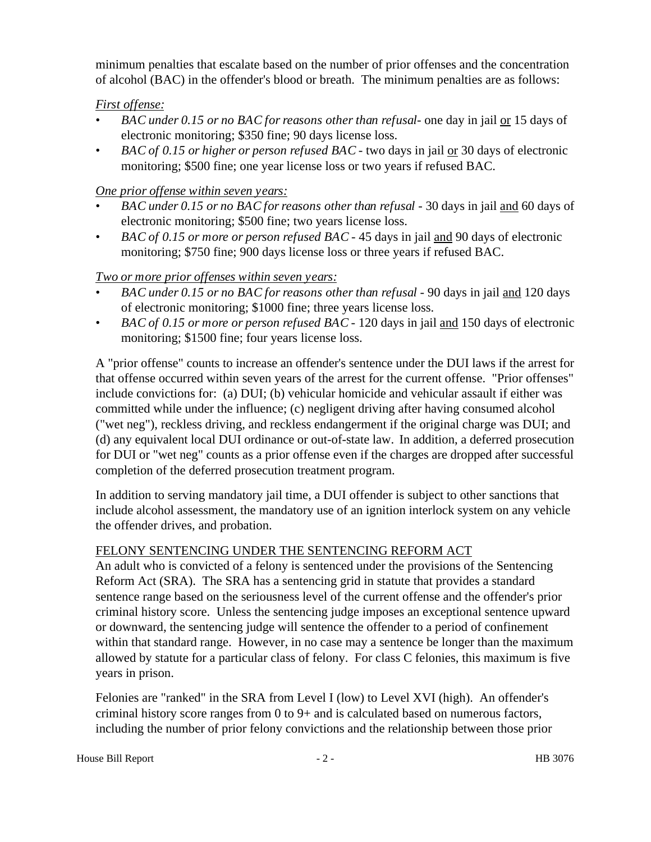minimum penalties that escalate based on the number of prior offenses and the concentration of alcohol (BAC) in the offender's blood or breath. The minimum penalties are as follows:

# *First offense:*

- *BAC under 0.15 or no BAC for reasons other than refusal* one day in jail or 15 days of electronic monitoring; \$350 fine; 90 days license loss.
- *BAC of 0.15 or higher or person refused BAC* two days in jail or 30 days of electronic monitoring; \$500 fine; one year license loss or two years if refused BAC.

# *One prior offense within seven years:*

- *BAC under 0.15 or no BAC for reasons other than refusal -* 30 days in jail and 60 days of electronic monitoring; \$500 fine; two years license loss.
- *BAC of 0.15 or more or person refused BAC* 45 days in jail and 90 days of electronic monitoring; \$750 fine; 900 days license loss or three years if refused BAC.

# *Two or more prior offenses within seven years:*

- *BAC under 0.15 or no BAC for reasons other than refusal* 90 days in jail and 120 days of electronic monitoring; \$1000 fine; three years license loss.
- *BAC of 0.15 or more or person refused BAC* 120 days in jail and 150 days of electronic monitoring; \$1500 fine; four years license loss.

A "prior offense" counts to increase an offender's sentence under the DUI laws if the arrest for that offense occurred within seven years of the arrest for the current offense. "Prior offenses" include convictions for: (a) DUI; (b) vehicular homicide and vehicular assault if either was committed while under the influence; (c) negligent driving after having consumed alcohol ("wet neg"), reckless driving, and reckless endangerment if the original charge was DUI; and (d) any equivalent local DUI ordinance or out-of-state law. In addition, a deferred prosecution for DUI or "wet neg" counts as a prior offense even if the charges are dropped after successful completion of the deferred prosecution treatment program.

In addition to serving mandatory jail time, a DUI offender is subject to other sanctions that include alcohol assessment, the mandatory use of an ignition interlock system on any vehicle the offender drives, and probation.

## FELONY SENTENCING UNDER THE SENTENCING REFORM ACT

An adult who is convicted of a felony is sentenced under the provisions of the Sentencing Reform Act (SRA). The SRA has a sentencing grid in statute that provides a standard sentence range based on the seriousness level of the current offense and the offender's prior criminal history score. Unless the sentencing judge imposes an exceptional sentence upward or downward, the sentencing judge will sentence the offender to a period of confinement within that standard range. However, in no case may a sentence be longer than the maximum allowed by statute for a particular class of felony. For class C felonies, this maximum is five years in prison.

Felonies are "ranked" in the SRA from Level I (low) to Level XVI (high). An offender's criminal history score ranges from 0 to 9+ and is calculated based on numerous factors, including the number of prior felony convictions and the relationship between those prior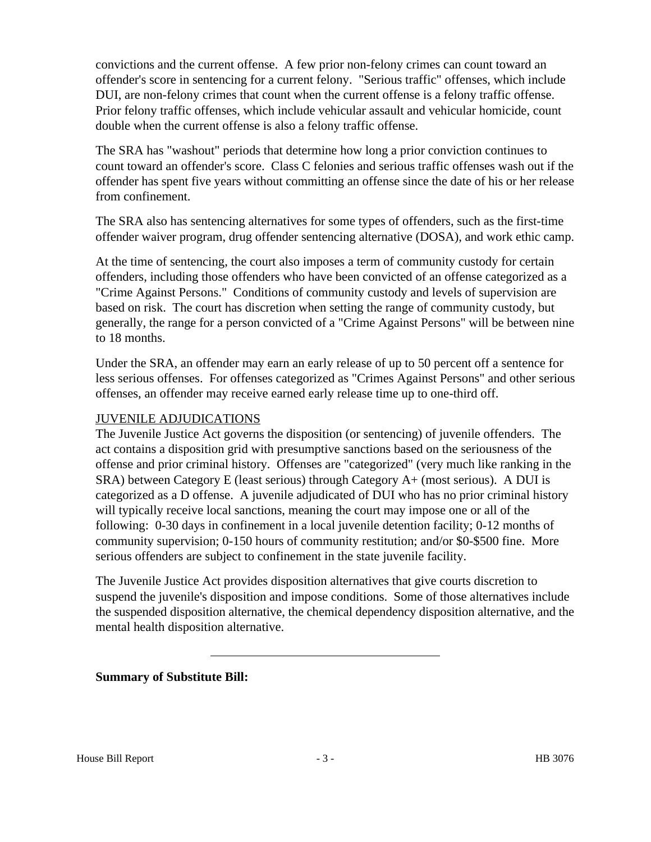convictions and the current offense. A few prior non-felony crimes can count toward an offender's score in sentencing for a current felony. "Serious traffic" offenses, which include DUI, are non-felony crimes that count when the current offense is a felony traffic offense. Prior felony traffic offenses, which include vehicular assault and vehicular homicide, count double when the current offense is also a felony traffic offense.

The SRA has "washout" periods that determine how long a prior conviction continues to count toward an offender's score. Class C felonies and serious traffic offenses wash out if the offender has spent five years without committing an offense since the date of his or her release from confinement.

The SRA also has sentencing alternatives for some types of offenders, such as the first-time offender waiver program, drug offender sentencing alternative (DOSA), and work ethic camp.

At the time of sentencing, the court also imposes a term of community custody for certain offenders, including those offenders who have been convicted of an offense categorized as a "Crime Against Persons." Conditions of community custody and levels of supervision are based on risk. The court has discretion when setting the range of community custody, but generally, the range for a person convicted of a "Crime Against Persons" will be between nine to 18 months.

Under the SRA, an offender may earn an early release of up to 50 percent off a sentence for less serious offenses. For offenses categorized as "Crimes Against Persons" and other serious offenses, an offender may receive earned early release time up to one-third off.

## JUVENILE ADJUDICATIONS

The Juvenile Justice Act governs the disposition (or sentencing) of juvenile offenders. The act contains a disposition grid with presumptive sanctions based on the seriousness of the offense and prior criminal history. Offenses are "categorized" (very much like ranking in the SRA) between Category E (least serious) through Category A+ (most serious). A DUI is categorized as a D offense. A juvenile adjudicated of DUI who has no prior criminal history will typically receive local sanctions, meaning the court may impose one or all of the following: 0-30 days in confinement in a local juvenile detention facility; 0-12 months of community supervision; 0-150 hours of community restitution; and/or \$0-\$500 fine. More serious offenders are subject to confinement in the state juvenile facility.

The Juvenile Justice Act provides disposition alternatives that give courts discretion to suspend the juvenile's disposition and impose conditions. Some of those alternatives include the suspended disposition alternative, the chemical dependency disposition alternative, and the mental health disposition alternative.

## **Summary of Substitute Bill:**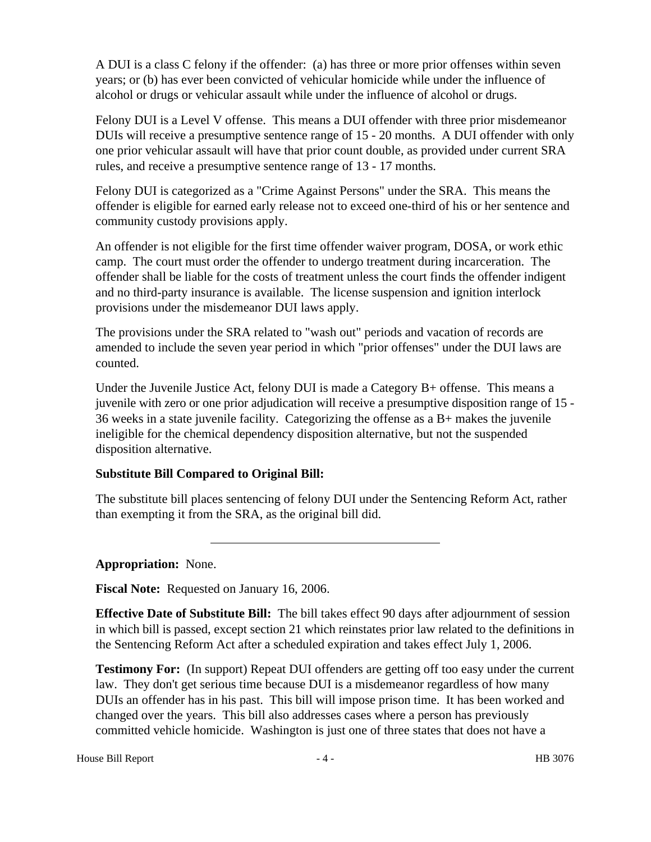A DUI is a class C felony if the offender: (a) has three or more prior offenses within seven years; or (b) has ever been convicted of vehicular homicide while under the influence of alcohol or drugs or vehicular assault while under the influence of alcohol or drugs.

Felony DUI is a Level V offense. This means a DUI offender with three prior misdemeanor DUIs will receive a presumptive sentence range of 15 - 20 months. A DUI offender with only one prior vehicular assault will have that prior count double, as provided under current SRA rules, and receive a presumptive sentence range of 13 - 17 months.

Felony DUI is categorized as a "Crime Against Persons" under the SRA. This means the offender is eligible for earned early release not to exceed one-third of his or her sentence and community custody provisions apply.

An offender is not eligible for the first time offender waiver program, DOSA, or work ethic camp. The court must order the offender to undergo treatment during incarceration. The offender shall be liable for the costs of treatment unless the court finds the offender indigent and no third-party insurance is available. The license suspension and ignition interlock provisions under the misdemeanor DUI laws apply.

The provisions under the SRA related to "wash out" periods and vacation of records are amended to include the seven year period in which "prior offenses" under the DUI laws are counted.

Under the Juvenile Justice Act, felony DUI is made a Category B+ offense. This means a juvenile with zero or one prior adjudication will receive a presumptive disposition range of 15 - 36 weeks in a state juvenile facility. Categorizing the offense as a B+ makes the juvenile ineligible for the chemical dependency disposition alternative, but not the suspended disposition alternative.

# **Substitute Bill Compared to Original Bill:**

The substitute bill places sentencing of felony DUI under the Sentencing Reform Act, rather than exempting it from the SRA, as the original bill did.

**Appropriation:** None.

**Fiscal Note:** Requested on January 16, 2006.

**Effective Date of Substitute Bill:** The bill takes effect 90 days after adjournment of session in which bill is passed, except section 21 which reinstates prior law related to the definitions in the Sentencing Reform Act after a scheduled expiration and takes effect July 1, 2006.

**Testimony For:** (In support) Repeat DUI offenders are getting off too easy under the current law. They don't get serious time because DUI is a misdemeanor regardless of how many DUIs an offender has in his past. This bill will impose prison time. It has been worked and changed over the years. This bill also addresses cases where a person has previously committed vehicle homicide. Washington is just one of three states that does not have a